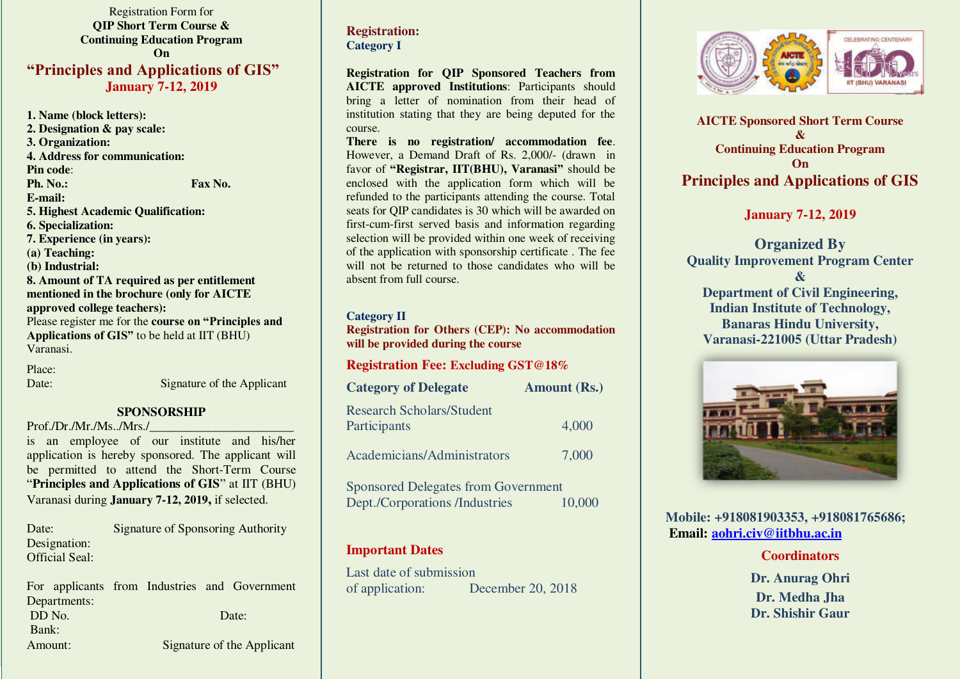Registration Form for **QIP Short Term Course & Continuing Education Program On "Principles and Applications of GIS" January 7-12, 2019** 

**1. Name (block letters): 2. Designation & pay scale: 3. Organization: 4. Address for communication: Pin code**: **Ph. No.: Fax No. Fax No. E-mail: 5. Highest Academic Qualification: 6. Specialization: 7. Experience (in years): (a) Teaching: (b) Industrial: 8. Amount of TA required as per entitlement mentioned in the brochure (only for AICTE approved college teachers):**  Please register me for the **course on "Principles and Applications of GIS"** to be held at IIT (BHU) Varanasi.

Place:

Date: Signature of the Applicant

#### **SPONSORSHIP**

 $Prof./Dr./Mr./Ms../Mrs./$ 

is an employee of our institute and his/her application is hereby sponsored. The applicant will be permitted to attend the Short-Term Course "**Principles and Applications of GIS**" at IIT (BHU) Varanasi during **January 7-12, 2019,** if selected.

Date: Signature of Sponsoring Authority Designation: Official Seal:

For applicants from Industries and Government Departments: DD No. Date: Bank: Amount: Signature of the Applicant

## **Registration: Category I**

**Registration for QIP Sponsored Teachers from AICTE approved Institutions**: Participants should bring a letter of nomination from their head of institution stating that they are being deputed for the course.

**There is no registration/ accommodation fee**. However, a Demand Draft of Rs. 2,000/- (drawn in favor of **"Registrar, IIT(BHU), Varanasi"** should be enclosed with the application form which will be refunded to the participants attending the course. Total seats for QIP candidates is 30 which will be awarded on first-cum-first served basis and information regarding selection will be provided within one week of receiving of the application with sponsorship certificate. The fee will not be returned to those candidates who will be absent from full course.

#### **Category II**

**Registration for Others (CEP): No accommodation will be provided during the course** 

#### **Registration Fee: Excluding GST@18%**

| <b>Category of Delegate</b>                      | <b>Amount (Rs.)</b> |
|--------------------------------------------------|---------------------|
| <b>Research Scholars/Student</b><br>Participants | 4,000               |
| <b>Academicians/Administrators</b>               | 7,000               |

Sponsored Delegates from Government Dept./Corporations /Industries 10,000

## **Important Dates**

Last date of submission of application: December 20, 2018



**AICTE Sponsored Short Term Course & Continuing Education Program On Principles and Applications of GIS** 

**January 7-12, 2019** 

**Organized By Quality Improvement Program Center & Department of Civil Engineering, Indian Institute of Technology, Banaras Hindu University, Varanasi-221005 (Uttar Pradesh)** 



**Mobile: +918081903353, +918081765686; Email: [aohri.civ@iitbhu.ac.in](mailto:aohri.civ@iitbhu.ac.in)**

#### **Coordinators**

**Dr. Anurag Ohri Dr. Medha Jha Dr. Shishir Gaur**